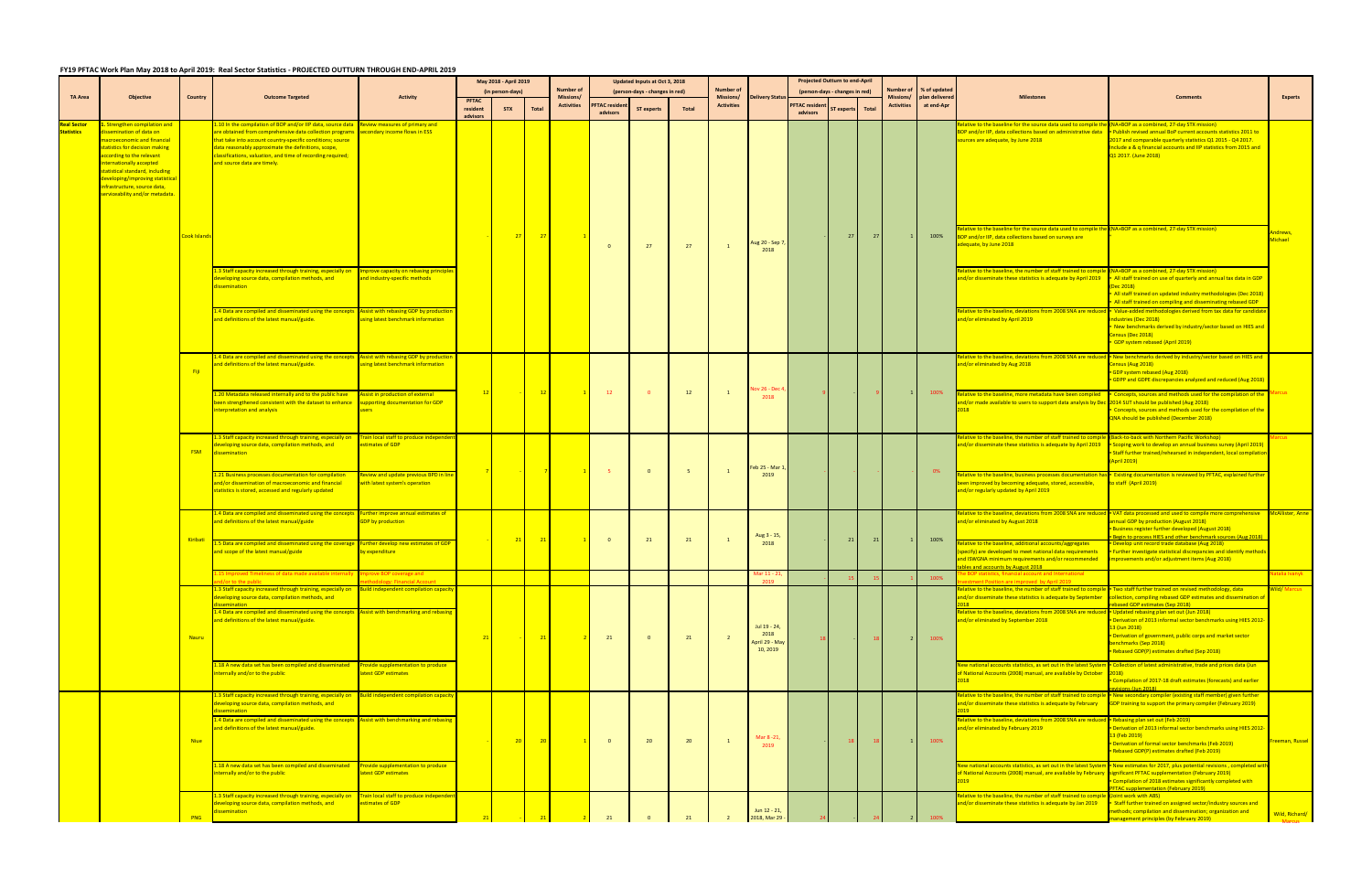## **FY19 PFTAC Work Plan May 2018 to April 2019: Real Sector Statistics ‐ PROJECTED OUTTURN THROUGH END‐APRIL 2019**

|                                 |                                                                                                                                                                                                                                                                                                                            |                           |                                                                                                                                                                                                                                                                                                                                                                                                         |                                                                                     | May 2018 - April 2019 |            |                | Updated Inputs at Oct 3, 2018        |                                   |                                |                                             |                               | <b>Projected Outturn to end-April</b>              |                                   |                                |                |                              |                                |                                                                                                                                                                                                                                                            |                                                                                                                                                                                                                                                                                                                                                                     |                                 |    |  |  |      |                                    |                                                                                                                                                                                                   |                |
|---------------------------------|----------------------------------------------------------------------------------------------------------------------------------------------------------------------------------------------------------------------------------------------------------------------------------------------------------------------------|---------------------------|---------------------------------------------------------------------------------------------------------------------------------------------------------------------------------------------------------------------------------------------------------------------------------------------------------------------------------------------------------------------------------------------------------|-------------------------------------------------------------------------------------|-----------------------|------------|----------------|--------------------------------------|-----------------------------------|--------------------------------|---------------------------------------------|-------------------------------|----------------------------------------------------|-----------------------------------|--------------------------------|----------------|------------------------------|--------------------------------|------------------------------------------------------------------------------------------------------------------------------------------------------------------------------------------------------------------------------------------------------------|---------------------------------------------------------------------------------------------------------------------------------------------------------------------------------------------------------------------------------------------------------------------------------------------------------------------------------------------------------------------|---------------------------------|----|--|--|------|------------------------------------|---------------------------------------------------------------------------------------------------------------------------------------------------------------------------------------------------|----------------|
| <b>TA Area</b>                  | <b>Objective</b>                                                                                                                                                                                                                                                                                                           | Country                   | <b>Outcome Targeted</b>                                                                                                                                                                                                                                                                                                                                                                                 | <b>Activity</b>                                                                     | (in person-days)      |            |                | <b>Number of</b><br><b>Missions/</b> |                                   | (person-days - changes in red) |                                             | <b>Number of</b><br>Missions/ | elivery Statı                                      |                                   | (person-days - changes in red) |                | <b>Number</b> o<br>Missions/ | % of updated<br>plan delivered | <b>Milestone:</b>                                                                                                                                                                                                                                          |                                                                                                                                                                                                                                                                                                                                                                     | <b>Experts</b>                  |    |  |  |      |                                    |                                                                                                                                                                                                   |                |
|                                 |                                                                                                                                                                                                                                                                                                                            |                           |                                                                                                                                                                                                                                                                                                                                                                                                         |                                                                                     | resident              | <b>STX</b> | <b>Total</b>   | <b>Activities</b>                    | <b>PFTAC</b> resident<br>advisors | <b>ST experts</b>              | Total                                       | <b>Activities</b>             |                                                    | <b>PFTAC resident</b><br>advisors | ST experts                     | Total          | <b>Activities</b>            | at end-Apr                     |                                                                                                                                                                                                                                                            |                                                                                                                                                                                                                                                                                                                                                                     |                                 |    |  |  |      |                                    |                                                                                                                                                                                                   |                |
| eal Sector<br><b>Statistics</b> | . Strengthen compilation and<br>lissemination of data on<br>nacroeconomic and financial<br>statistics for decision making<br>according to the relevant<br>nternationally accepted<br>statistical standard, including<br>developing/improving statistical<br>infrastructure, source data,<br>serviceability and/or metadata |                           | 1.10 In the compilation of BOP and/or IIP data, source data Review measures of primary and<br>are obtained from comprehensive data collection programs secondary income flows in ESS<br>that take into account country-specific conditions; source<br>data reasonably approximate the definitions, scope,<br>classifications, valuation, and time of recording required;<br>and source data are timely. |                                                                                     |                       |            |                |                                      |                                   |                                |                                             |                               |                                                    |                                   |                                |                |                              |                                | lative to the baseline for the source data used to compile the (NA+BOP as a combined, 27-day STX mission)<br>BOP and/or IIP, data collections based on administrative data<br>ources are adequate, by June 2018                                            | Publish revised annual BoP current accounts statistics 2011 to<br>2017 and comparable quarterly statistics Q1 2015 - Q4 2017.<br>Include a & q financial accounts and IIP statistics from 2015 and<br>Q1 2017. (June 2018)                                                                                                                                          |                                 |    |  |  |      |                                    |                                                                                                                                                                                                   |                |
|                                 |                                                                                                                                                                                                                                                                                                                            | <mark>Cook Island:</mark> |                                                                                                                                                                                                                                                                                                                                                                                                         |                                                                                     |                       | 27         | $-27$          |                                      | $\overline{\mathbf{0}}$           | 27                             | 27                                          |                               | Aug 20 - Sep 7<br>2018                             |                                   | 27                             | 27             |                              | 100%                           | lative to the baseline for the source data used to compile th<br>BOP and/or IIP, data collections based on surveys are<br>dequate, by June 2018                                                                                                            | e (NA+BOP as a combined, 27-day STX mission)                                                                                                                                                                                                                                                                                                                        | ndrews<br>Michael               |    |  |  |      |                                    |                                                                                                                                                                                                   |                |
|                                 |                                                                                                                                                                                                                                                                                                                            |                           | .3 Staff capacity increased through training, especially on Improve capacity on rebasing principle<br>developing source data, compilation methods, and<br>dissemination                                                                                                                                                                                                                                 | and industry-specific methods                                                       |                       |            |                |                                      |                                   |                                |                                             |                               |                                                    |                                   |                                |                |                              |                                | elative to the baseline, the number of staff trained to comp<br>and/or disseminate these statistics is adequate by April 2019                                                                                                                              | (NA+BOP as a combined, 27-day STX mission)<br>- All staff trained on use of quarterly and annual tax data in GDP<br>Dec 2018)<br>All staff trained on updated industry methodologies (Dec 2018)<br>. All staff trained on compiling and disseminating rebased GDP                                                                                                   |                                 |    |  |  |      |                                    |                                                                                                                                                                                                   |                |
|                                 |                                                                                                                                                                                                                                                                                                                            |                           | L4 Data are compiled and disseminated using the concepts Assist with rebasing GDP by production<br>and definitions of the latest manual/guide.                                                                                                                                                                                                                                                          | <b>Ising latest benchmark information</b>                                           |                       |            |                |                                      |                                   |                                |                                             |                               |                                                    |                                   |                                |                |                              |                                | elative to the baseline, deviations from 2008 SNA are reduc<br>and/or eliminated by April 2019                                                                                                                                                             | • Value-added methodologies derived from tax data for candidat<br>industries (Dec 2018)<br>New benchmarks derived by industry/sector based on HIES and<br>Census (Dec 2018)<br>GDP system rebased (April 2019)                                                                                                                                                      |                                 |    |  |  |      |                                    |                                                                                                                                                                                                   |                |
|                                 |                                                                                                                                                                                                                                                                                                                            | Fiji                      | 1.4 Data are compiled and disseminated using the concepts Assist with rebasing GDP by production<br>and definitions of the latest manual/guide.                                                                                                                                                                                                                                                         | sing latest benchmark information                                                   |                       |            |                |                                      |                                   |                                |                                             |                               |                                                    |                                   |                                |                |                              |                                | elative to the baseline, deviations from 2008 SNA are reduce<br>and/or eliminated by Aug 2018                                                                                                                                                              | d FNew benchmarks derived by industry/sector based on HIES and<br>Census (Aug 2018)<br>GDP system rebased (Aug 2018)<br>• GDPP and GDPE discrepancies analyzed and reduced (Aug 2018)                                                                                                                                                                               |                                 |    |  |  |      |                                    |                                                                                                                                                                                                   |                |
|                                 |                                                                                                                                                                                                                                                                                                                            |                           | .20 Metadata released internally and to the public have<br>been strengthened consistent with the dataset to enhance<br>nterpretation and analysis                                                                                                                                                                                                                                                       | Assist in production of external<br>upporting documentation for GDP<br><b>isers</b> | 12                    |            | 12             |                                      | 12                                | $\bullet$                      | 12                                          |                               | ov 26 - Dec 4<br>2018                              |                                   |                                |                |                              | 100%                           | elative to the baseline, more metadata have been compiled<br>d/or made available to users to support data analysis by Dec 2014 SUT should be published (Aug 2018)<br>018                                                                                   | • Concepts, sources and methods used for the compilation of the<br>Concepts, sources and methods used for the compilation of the<br>QNA should be published (December 2018)                                                                                                                                                                                         |                                 |    |  |  |      |                                    |                                                                                                                                                                                                   |                |
|                                 |                                                                                                                                                                                                                                                                                                                            | <b>FSM</b>                | 1.3 Staff capacity increased through training, especially on Train local staff to produce independ<br>veloping source data, compilation methods, and<br>ssemination                                                                                                                                                                                                                                     | estimates of GDP                                                                    |                       |            |                |                                      |                                   |                                |                                             |                               | eb 25 - Mar 1                                      |                                   |                                |                |                              |                                | elative to the baseline, the number of staff trained to compi<br>nd/or disseminate these statistics is adequate by April 2019                                                                                                                              | <b>Back-to-back with Northern Pacific Workshop)</b><br>Scoping work to develop an annual business survey (April 2019)<br>Staff further trained/rehearsed in independent, local compilatio<br>(April 2019)                                                                                                                                                           |                                 |    |  |  |      |                                    |                                                                                                                                                                                                   |                |
|                                 |                                                                                                                                                                                                                                                                                                                            |                           | 1.21 Business processes documentation for compilation<br>and/or dissemination of macroeconomic and financial<br>statistics is stored, accessed and regularly updated                                                                                                                                                                                                                                    | Review and update previous BPD in line<br>vith latest system's operation            |                       |            | $\overline{7}$ |                                      |                                   | $\Omega$                       |                                             |                               | 2019                                               |                                   |                                |                |                              | 0%                             | lative to the baseline, business processes documentation h<br>een improved by becoming adequate, stored, accessible,<br>nd/or regularly updated by April 2019                                                                                              | s Fxisting documentation is reviewed by PFTAC, explained furthe<br>to staff (April 2019)                                                                                                                                                                                                                                                                            |                                 |    |  |  |      |                                    |                                                                                                                                                                                                   |                |
|                                 |                                                                                                                                                                                                                                                                                                                            | Kiribati                  | 1.4 Data are compiled and disseminated using the concepts Further improve annual estimates of<br>and definitions of the latest manual/guide                                                                                                                                                                                                                                                             | <b>GDP</b> by production                                                            |                       | 21         | 21             |                                      | $\overline{\mathbf{0}}$           | 21                             | 21                                          |                               | Aug 3 - 15,                                        |                                   | 21                             | 21             |                              | 100%                           | lative to the baseline, deviations from 2008 SNA are reduce<br>nd/or eliminated by August 2018                                                                                                                                                             | <b>I</b> • VAT data processed and used to compile more comprehensive<br>annual GDP by production (August 2018)<br><b>Business register further developed (August 2018)</b><br>egin to process HIES and other benchmark sources (Aug 20                                                                                                                              | <b>McAllister, Anne</b>         |    |  |  |      |                                    |                                                                                                                                                                                                   |                |
|                                 |                                                                                                                                                                                                                                                                                                                            |                           | 5 Data are compiled and disseminated using the coverage Further develop new estimates of GDP<br>and scope of the latest manual/guide                                                                                                                                                                                                                                                                    | by expenditure                                                                      |                       |            |                |                                      |                                   |                                |                                             |                               | 2018                                               |                                   |                                |                |                              |                                | lative to the baseline, additional accounts/aggregates<br>specify) are developed to meet national data requirements<br>and ISWGNA minimum requirements and/or recommended<br>les and accounts by August 2018                                               | Develop unit record trade database (Aug 2018)<br>. Further investigate statistical discrepancies and identify methor<br>improvements and/or adjustment items (Aug 2018)                                                                                                                                                                                             |                                 |    |  |  |      |                                    |                                                                                                                                                                                                   |                |
|                                 |                                                                                                                                                                                                                                                                                                                            |                           | d/or to the public<br>1.3 Staff capacity increased through training, especially on Build independent compilation capacit                                                                                                                                                                                                                                                                                | <b>Modology: Financial Account</b>                                                  |                       |            |                |                                      |                                   |                                |                                             |                               |                                                    |                                   |                                |                |                              |                                | ment Position are improved by April 2019<br>lative to the baseline, the number of staff trained to compil                                                                                                                                                  | <b>Follow</b> I Two staff further trained on revised methodology, data                                                                                                                                                                                                                                                                                              |                                 |    |  |  |      |                                    |                                                                                                                                                                                                   |                |
|                                 |                                                                                                                                                                                                                                                                                                                            | Nauru                     | leveloping source data, compilation methods, and<br>1.4 Data are compiled and disseminated using the concepts<br>and definitions of the latest manual/guide.                                                                                                                                                                                                                                            | <b>Assist with benchmarking and rebasing</b>                                        | 21                    |            | 21             |                                      | 21                                | $\Omega$                       | 21                                          |                               | Jul 19 - 24,<br>2018<br>April 29 - May<br>10, 2019 |                                   |                                |                | 2 L                          | 100%                           | nd/or disseminate these statistics is adequate by September<br>elative to the baseline, deviations from 2008 SNA are reduce<br>and/or eliminated by September 2018                                                                                         | Ilection, compiling rebased GDP estimates and dissemination o<br>based GDP estimates (Sep 2018)<br>Updated rebasing plan set out (Jun 2018)<br>- Derivation of 2013 informal sector benchmarks using HIES 2012<br>13 (Jun 2018)<br>Derivation of government, public corps and market sector<br>oenchmarks (Sep 2018)<br>Rebased GDP(P) estimates drafted (Sep 2018) |                                 |    |  |  |      |                                    |                                                                                                                                                                                                   |                |
|                                 |                                                                                                                                                                                                                                                                                                                            |                           | 1.18 A new data set has been compiled and disseminated Provide supplementation to produce<br>internally and/or to the public                                                                                                                                                                                                                                                                            | atest GDP estimates                                                                 |                       |            |                |                                      |                                   |                                |                                             |                               |                                                    |                                   |                                |                |                              |                                | lew national accounts statistics, as set out in the latest Systen<br>of National Accounts (2008) manual, are available by October 2018)                                                                                                                    | Collection of latest administrative, trade and prices data (Jun<br>Compilation of 2017-18 draft estimates (forecasts) and earlier<br>$\frac{1}{2}$                                                                                                                                                                                                                  |                                 |    |  |  |      |                                    |                                                                                                                                                                                                   |                |
|                                 |                                                                                                                                                                                                                                                                                                                            |                           | 1.3 Staff capacity increased through training, especially on Build independent compilation capacity<br>developing source data, compilation methods, and<br>ssemination<br>1.4 Data are compiled and disseminated using the concepts                                                                                                                                                                     | Assist with benchmarking and rebasin                                                |                       |            |                |                                      |                                   |                                |                                             |                               |                                                    |                                   |                                |                |                              |                                | elative to the baseline, the number of staff trained to comp<br>ind/or disseminate these statistics is adequate by February<br>elative to the baseline, deviations from 2008 SNA are reduce                                                                | New secondary compiler (existing staff member) given further<br><b>GDP training to support the primary compiler (February 2019)</b><br>Rebasing plan set out (Feb 2019)                                                                                                                                                                                             |                                 |    |  |  |      |                                    |                                                                                                                                                                                                   |                |
|                                 |                                                                                                                                                                                                                                                                                                                            | <b>Niue</b>               |                                                                                                                                                                                                                                                                                                                                                                                                         |                                                                                     |                       |            |                |                                      |                                   |                                | and definitions of the latest manual/guide. |                               | 20 <sup>°</sup>                                    | 20                                |                                | $\overline{0}$ | 20                           | 20                             |                                                                                                                                                                                                                                                            | Mar 8-21,<br>2019                                                                                                                                                                                                                                                                                                                                                   |                                 | 18 |  |  | 100% | and/or eliminated by February 2019 | Derivation of 2013 informal sector benchmarks using HIES 2012<br><mark>13 (Feb 2019)</mark><br>• Derivation of formal sector benchmarks (Feb 2019)<br>Rebased GDP(P) estimates drafted (Feb 2019) | reeman, Russel |
|                                 |                                                                                                                                                                                                                                                                                                                            |                           | 18 A new data set has been compiled and disseminated Provide supplementation to produce<br>nternally and/or to the public<br>3 Staff capacity increased through training, especially on                                                                                                                                                                                                                 | test GDP estimates<br><b>Frain local staff to produce independe</b>                 |                       |            |                |                                      |                                   |                                |                                             |                               |                                                    |                                   |                                |                |                              |                                | ew national accounts statistics, as set out in the latest Syster<br>of National Accounts (2008) manual, are available by February significant PFTAC supplementation (February 2019)<br>019<br>lative to the baseline, the number of staff trained to compi | n New estimates for 2017, plus potential revisions, completed with<br>Compilation of 2018 estimates significantly completed with<br><b>FTAC supplementation (February 2019)</b><br>(Joint work with ABS)                                                                                                                                                            |                                 |    |  |  |      |                                    |                                                                                                                                                                                                   |                |
|                                 |                                                                                                                                                                                                                                                                                                                            | PNG                       | developing source data, compilation methods, and<br>dissemination                                                                                                                                                                                                                                                                                                                                       | estimates of GDP                                                                    |                       |            |                |                                      |                                   |                                |                                             |                               | Jun 12 - 21,                                       |                                   |                                |                |                              |                                | nd/or disseminate these statistics is adequate by Jan 2019                                                                                                                                                                                                 | • Staff further trained on assigned sector/industry sources and<br>methods; compilation and dissemination; organization and<br><b>Inagement principles (by February 2019)</b>                                                                                                                                                                                       | Wild, Richard/<br><b>Marcus</b> |    |  |  |      |                                    |                                                                                                                                                                                                   |                |